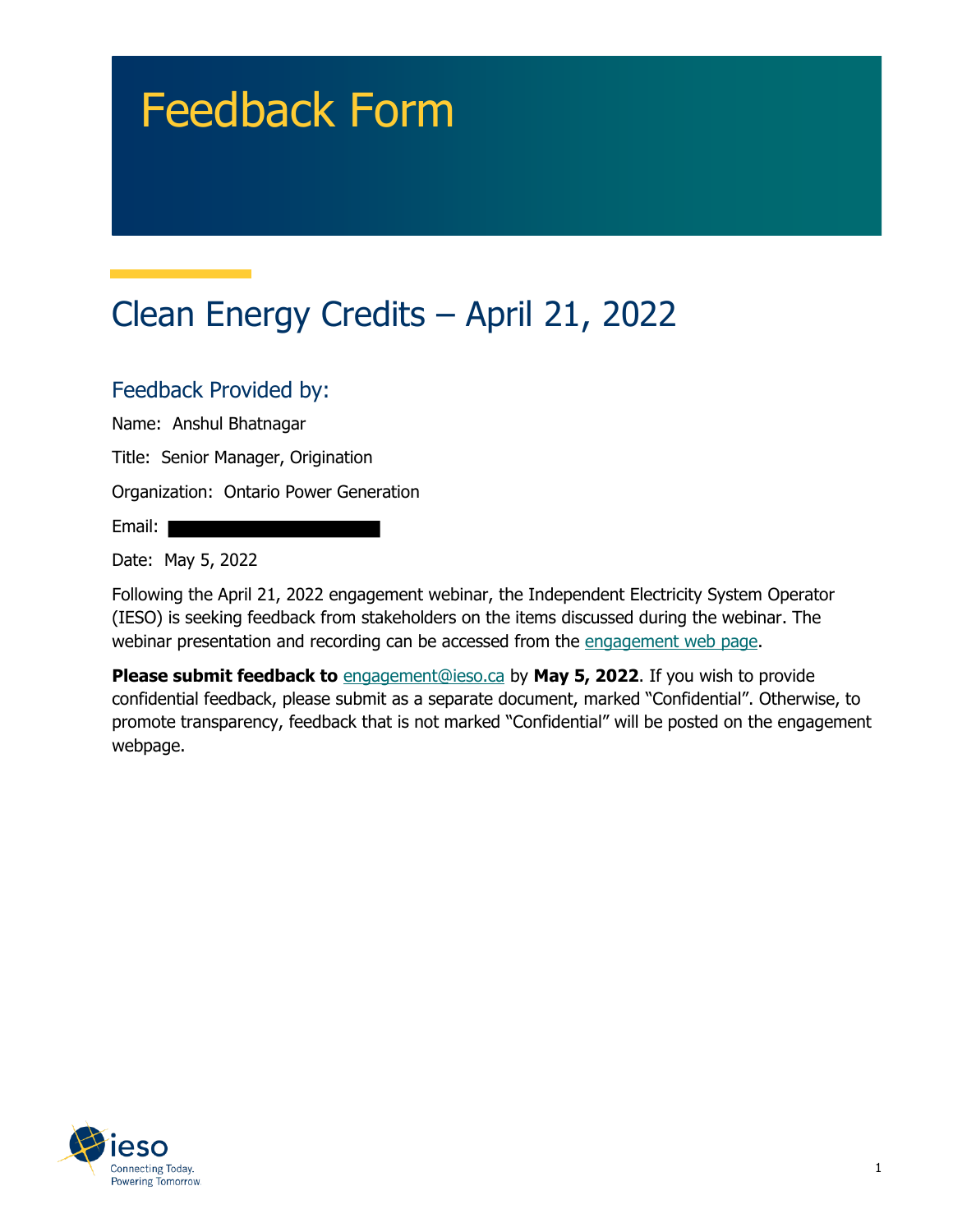# Feedback Form

## Clean Energy Credits – April 21, 2022

#### Feedback Provided by:

Name: Anshul Bhatnagar

Title: Senior Manager, Origination

Organization: Ontario Power Generation

Email:

Date: May 5, 2022

Following the April 21, 2022 engagement webinar, the Independent Electricity System Operator (IESO) is seeking feedback from stakeholders on the items discussed during the webinar. The webinar presentation and recording can be accessed from the [engagement web page.](https://www.ieso.ca/en/Sector-Participants/Engagement-Initiatives/Engagements/Clean-Energy-Credits)

**Please submit feedback to** [engagement@ieso.ca](mailto:engagement@ieso.ca) by **May 5, 2022**. If you wish to provide confidential feedback, please submit as a separate document, marked "Confidential". Otherwise, to promote transparency, feedback that is not marked "Confidential" will be posted on the engagement webpage.

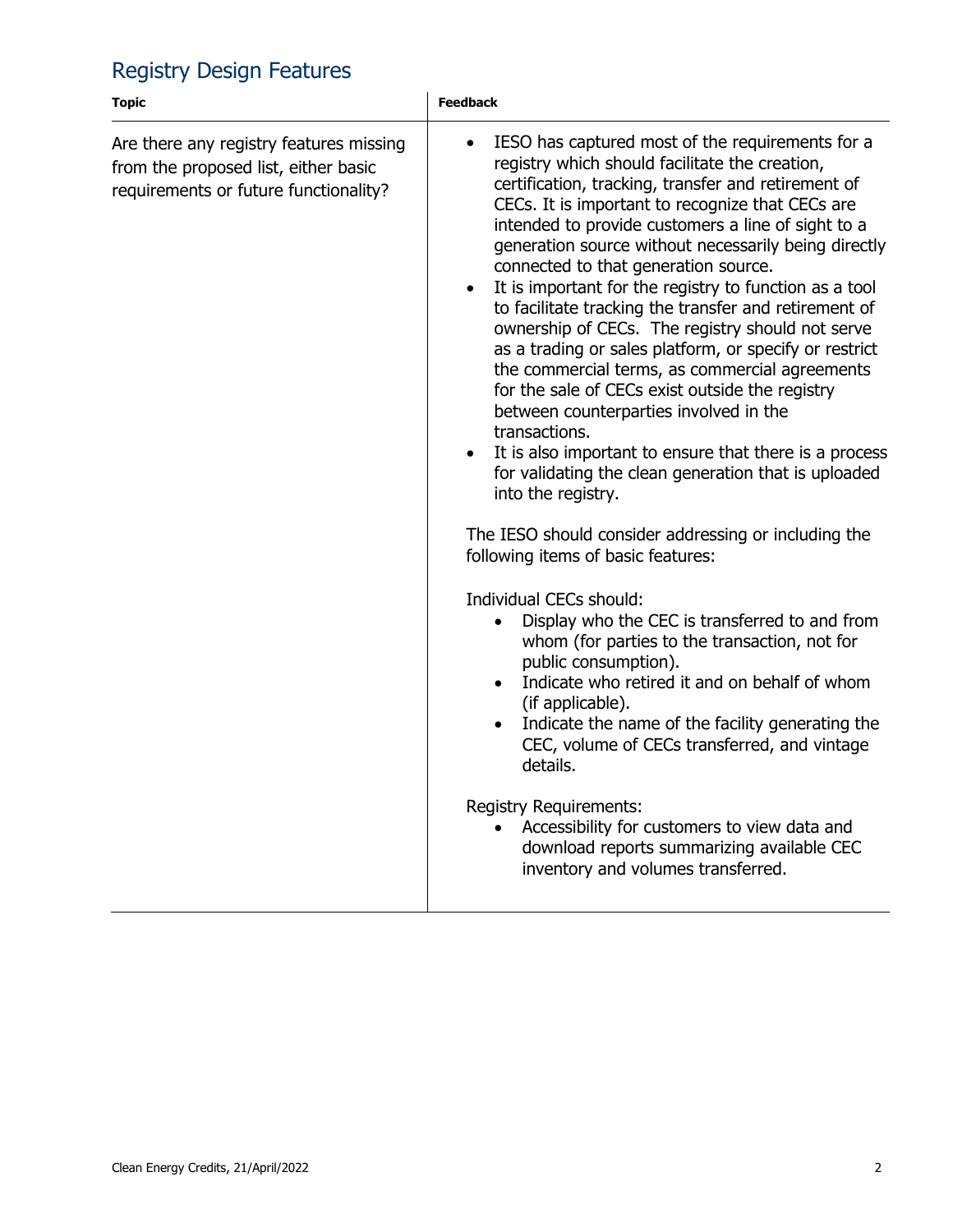### Registry Design Features

| <b>Topic</b>                                                                                                             | <b>Feedback</b>                                                                                                                                                                                                                                                                                                                                                                                                                                                                                                                                                                                                                                                                                                                                                                                                                                                                                                                                                                                                                                                                                                                                                                                                                                                                                                                                                                                                                                                                                                                                                   |
|--------------------------------------------------------------------------------------------------------------------------|-------------------------------------------------------------------------------------------------------------------------------------------------------------------------------------------------------------------------------------------------------------------------------------------------------------------------------------------------------------------------------------------------------------------------------------------------------------------------------------------------------------------------------------------------------------------------------------------------------------------------------------------------------------------------------------------------------------------------------------------------------------------------------------------------------------------------------------------------------------------------------------------------------------------------------------------------------------------------------------------------------------------------------------------------------------------------------------------------------------------------------------------------------------------------------------------------------------------------------------------------------------------------------------------------------------------------------------------------------------------------------------------------------------------------------------------------------------------------------------------------------------------------------------------------------------------|
| Are there any registry features missing<br>from the proposed list, either basic<br>requirements or future functionality? | IESO has captured most of the requirements for a<br>$\bullet$<br>registry which should facilitate the creation,<br>certification, tracking, transfer and retirement of<br>CECs. It is important to recognize that CECs are<br>intended to provide customers a line of sight to a<br>generation source without necessarily being directly<br>connected to that generation source.<br>It is important for the registry to function as a tool<br>$\bullet$<br>to facilitate tracking the transfer and retirement of<br>ownership of CECs. The registry should not serve<br>as a trading or sales platform, or specify or restrict<br>the commercial terms, as commercial agreements<br>for the sale of CECs exist outside the registry<br>between counterparties involved in the<br>transactions.<br>It is also important to ensure that there is a process<br>for validating the clean generation that is uploaded<br>into the registry.<br>The IESO should consider addressing or including the<br>following items of basic features:<br>Individual CECs should:<br>Display who the CEC is transferred to and from<br>whom (for parties to the transaction, not for<br>public consumption).<br>Indicate who retired it and on behalf of whom<br>$\bullet$<br>(if applicable).<br>Indicate the name of the facility generating the<br>CEC, volume of CECs transferred, and vintage<br>details.<br><b>Registry Requirements:</b><br>Accessibility for customers to view data and<br>download reports summarizing available CEC<br>inventory and volumes transferred. |
|                                                                                                                          |                                                                                                                                                                                                                                                                                                                                                                                                                                                                                                                                                                                                                                                                                                                                                                                                                                                                                                                                                                                                                                                                                                                                                                                                                                                                                                                                                                                                                                                                                                                                                                   |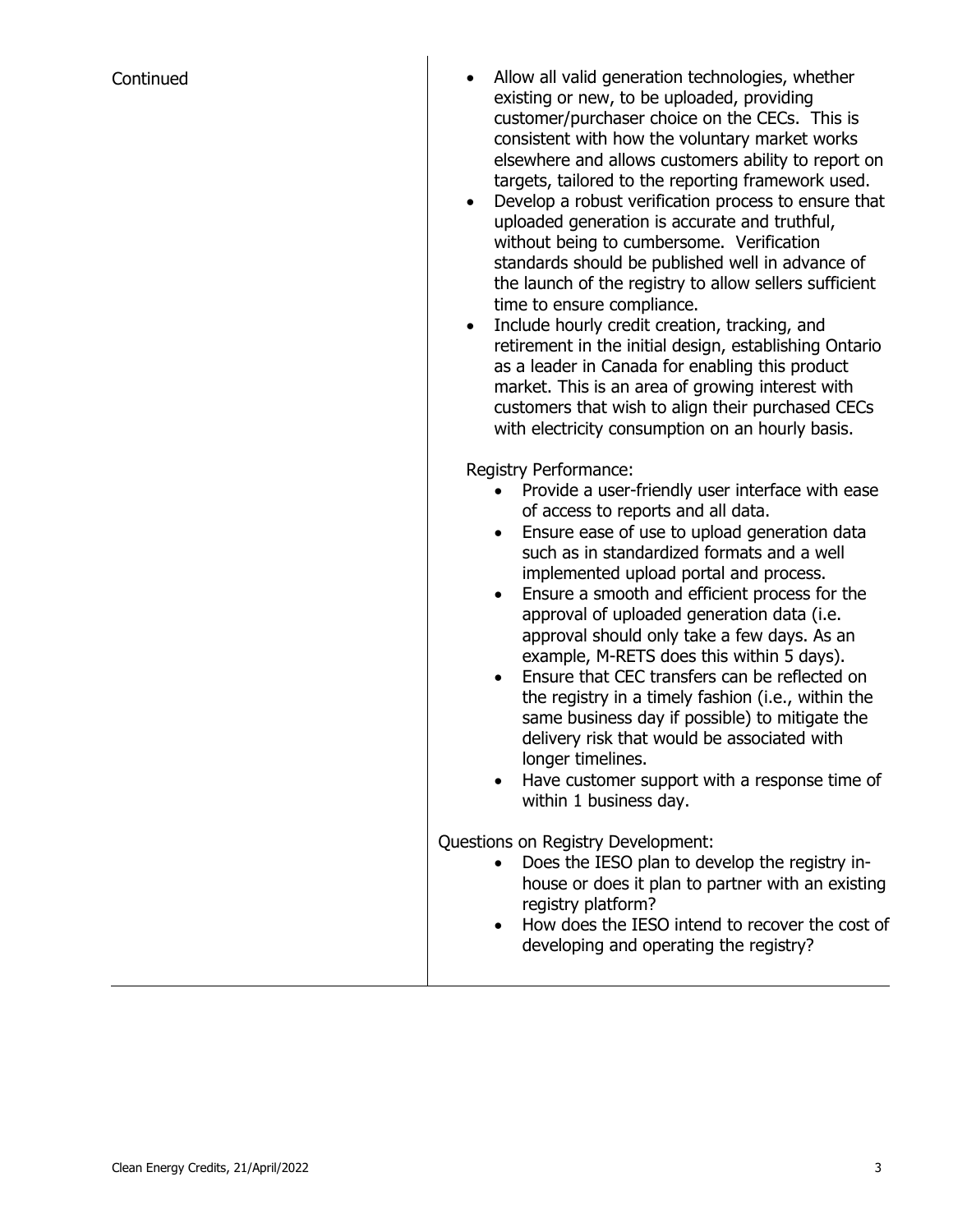- Continued **Continued Allow all valid generation technologies, whether** existing or new, to be uploaded, providing customer/purchaser choice on the CECs. This is consistent with how the voluntary market works elsewhere and allows customers ability to report on targets, tailored to the reporting framework used.
	- Develop a robust verification process to ensure that uploaded generation is accurate and truthful, without being to cumbersome. Verification standards should be published well in advance of the launch of the registry to allow sellers sufficient time to ensure compliance.
	- Include hourly credit creation, tracking, and retirement in the initial design, establishing Ontario as a leader in Canada for enabling this product market. This is an area of growing interest with customers that wish to align their purchased CECs with electricity consumption on an hourly basis.

Registry Performance:

- Provide a user-friendly user interface with ease of access to reports and all data.
- Ensure ease of use to upload generation data such as in standardized formats and a well implemented upload portal and process.
- Ensure a smooth and efficient process for the approval of uploaded generation data (i.e. approval should only take a few days. As an example, M-RETS does this within 5 days).
- Ensure that CEC transfers can be reflected on the registry in a timely fashion (i.e., within the same business day if possible) to mitigate the delivery risk that would be associated with longer timelines.
- Have customer support with a response time of within 1 business day.

Questions on Registry Development:

- Does the IESO plan to develop the registry inhouse or does it plan to partner with an existing registry platform?
- How does the IESO intend to recover the cost of developing and operating the registry?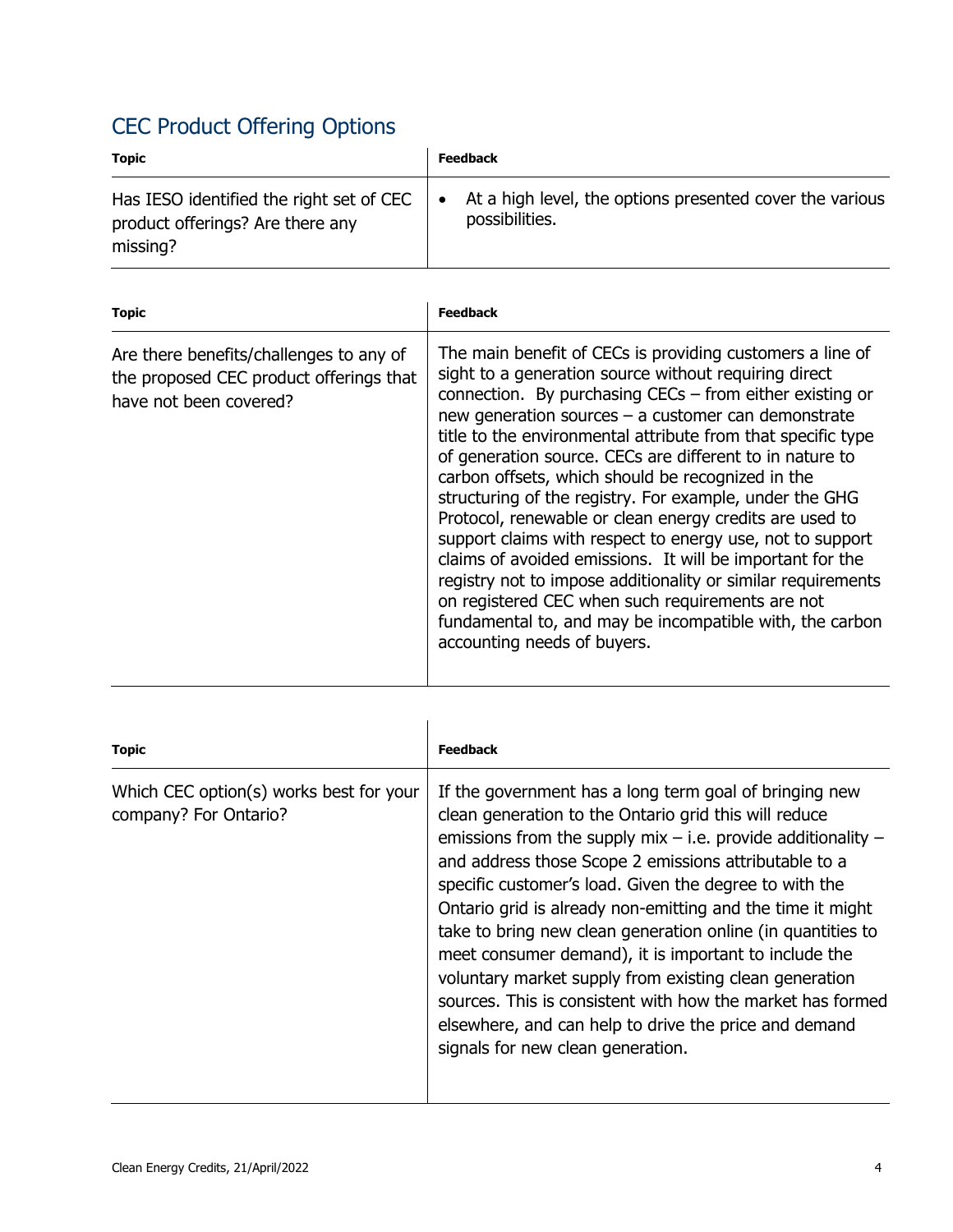## CEC Product Offering Options

| <b>Topic</b>                                                                             |           | <b>Feedback</b>                                                            |
|------------------------------------------------------------------------------------------|-----------|----------------------------------------------------------------------------|
| Has IESO identified the right set of CEC<br>product offerings? Are there any<br>missing? | $\bullet$ | At a high level, the options presented cover the various<br>possibilities. |

| <b>Topic</b>                                                                                                 | <b>Feedback</b>                                                                                                                                                                                                                                                                                                                                                                                                                                                                                                                                                                                                                                                                                                                                                                                                                                                                         |
|--------------------------------------------------------------------------------------------------------------|-----------------------------------------------------------------------------------------------------------------------------------------------------------------------------------------------------------------------------------------------------------------------------------------------------------------------------------------------------------------------------------------------------------------------------------------------------------------------------------------------------------------------------------------------------------------------------------------------------------------------------------------------------------------------------------------------------------------------------------------------------------------------------------------------------------------------------------------------------------------------------------------|
| Are there benefits/challenges to any of<br>the proposed CEC product offerings that<br>have not been covered? | The main benefit of CECs is providing customers a line of<br>sight to a generation source without requiring direct<br>connection. By purchasing CECs - from either existing or<br>new generation sources $-$ a customer can demonstrate<br>title to the environmental attribute from that specific type<br>of generation source. CECs are different to in nature to<br>carbon offsets, which should be recognized in the<br>structuring of the registry. For example, under the GHG<br>Protocol, renewable or clean energy credits are used to<br>support claims with respect to energy use, not to support<br>claims of avoided emissions. It will be important for the<br>registry not to impose additionality or similar requirements<br>on registered CEC when such requirements are not<br>fundamental to, and may be incompatible with, the carbon<br>accounting needs of buyers. |
|                                                                                                              |                                                                                                                                                                                                                                                                                                                                                                                                                                                                                                                                                                                                                                                                                                                                                                                                                                                                                         |

| <b>Topic</b>                                                     | <b>Feedback</b>                                                                                                                                                                                                                                                                                                                                                                                                                                                                                                                                                                                                                                                                                                    |
|------------------------------------------------------------------|--------------------------------------------------------------------------------------------------------------------------------------------------------------------------------------------------------------------------------------------------------------------------------------------------------------------------------------------------------------------------------------------------------------------------------------------------------------------------------------------------------------------------------------------------------------------------------------------------------------------------------------------------------------------------------------------------------------------|
| Which CEC option(s) works best for your<br>company? For Ontario? | If the government has a long term goal of bringing new<br>clean generation to the Ontario grid this will reduce<br>emissions from the supply mix $-$ i.e. provide additionality $-$<br>and address those Scope 2 emissions attributable to a<br>specific customer's load. Given the degree to with the<br>Ontario grid is already non-emitting and the time it might<br>take to bring new clean generation online (in quantities to<br>meet consumer demand), it is important to include the<br>voluntary market supply from existing clean generation<br>sources. This is consistent with how the market has formed<br>elsewhere, and can help to drive the price and demand<br>signals for new clean generation. |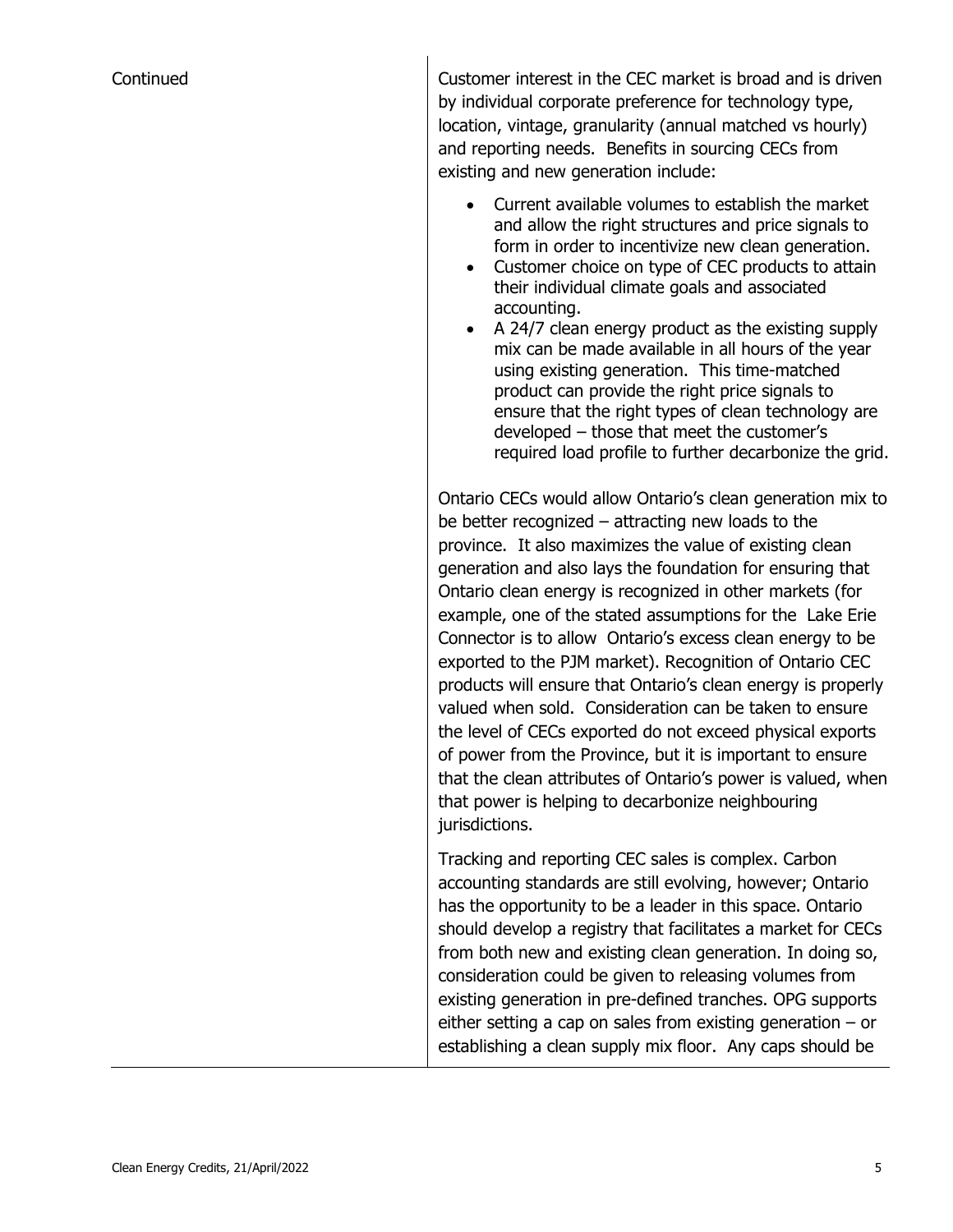Continued Customer interest in the CEC market is broad and is driven by individual corporate preference for technology type, location, vintage, granularity (annual matched vs hourly) and reporting needs. Benefits in sourcing CECs from existing and new generation include:

- Current available volumes to establish the market and allow the right structures and price signals to form in order to incentivize new clean generation.
- Customer choice on type of CEC products to attain their individual climate goals and associated accounting.
- A 24/7 clean energy product as the existing supply mix can be made available in all hours of the year using existing generation. This time-matched product can provide the right price signals to ensure that the right types of clean technology are developed – those that meet the customer's required load profile to further decarbonize the grid.

Ontario CECs would allow Ontario's clean generation mix to be better recognized – attracting new loads to the province. It also maximizes the value of existing clean generation and also lays the foundation for ensuring that Ontario clean energy is recognized in other markets (for example, one of the stated assumptions for the Lake Erie Connector is to allow Ontario's excess clean energy to be exported to the PJM market). Recognition of Ontario CEC products will ensure that Ontario's clean energy is properly valued when sold. Consideration can be taken to ensure the level of CECs exported do not exceed physical exports of power from the Province, but it is important to ensure that the clean attributes of Ontario's power is valued, when that power is helping to decarbonize neighbouring jurisdictions.

Tracking and reporting CEC sales is complex. Carbon accounting standards are still evolving, however; Ontario has the opportunity to be a leader in this space. Ontario should develop a registry that facilitates a market for CECs from both new and existing clean generation. In doing so, consideration could be given to releasing volumes from existing generation in pre-defined tranches. OPG supports either setting a cap on sales from existing generation – or establishing a clean supply mix floor. Any caps should be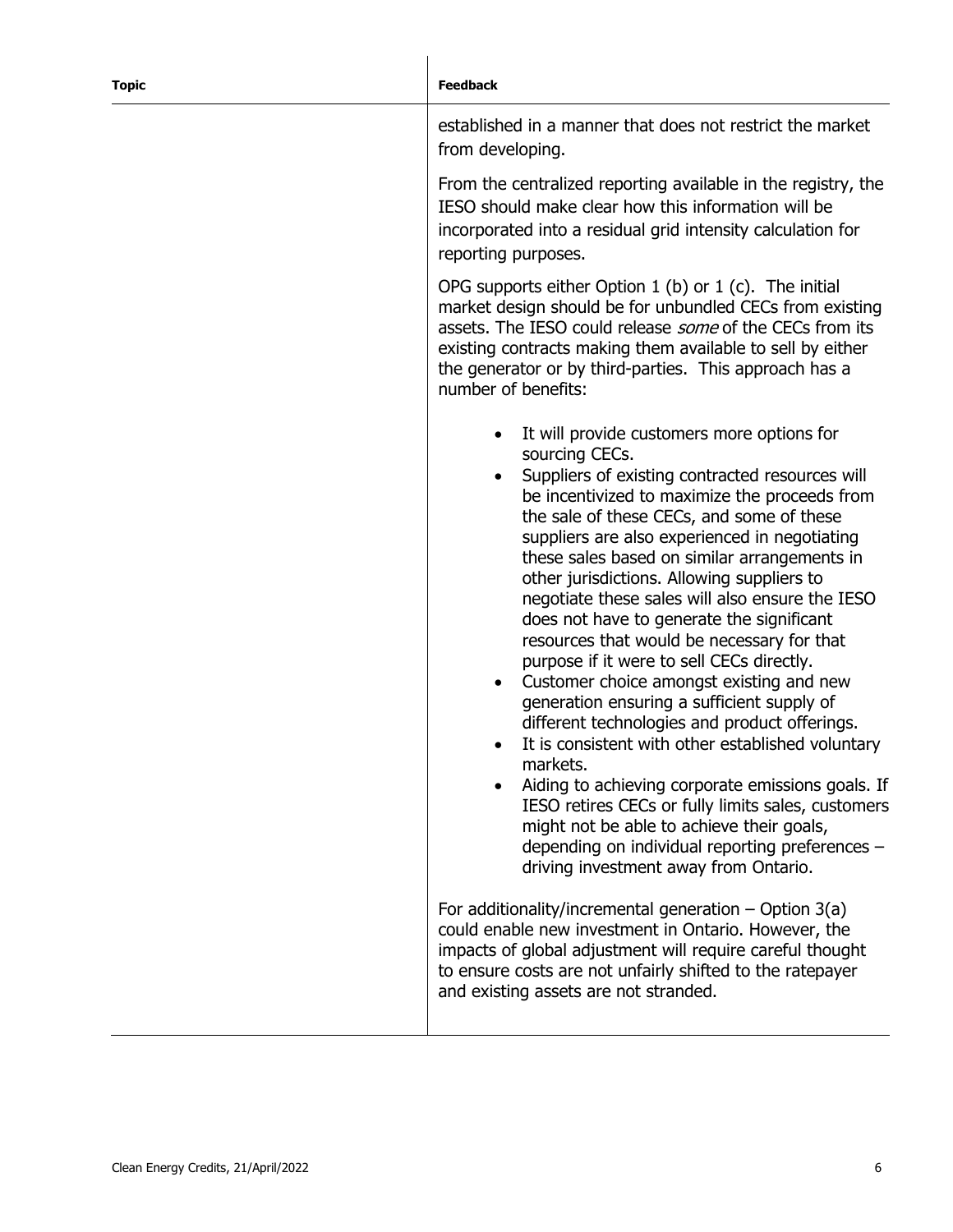#### **Topic Feedback**

established in a manner that does not restrict the market from developing.

From the centralized reporting available in the registry, the IESO should make clear how this information will be incorporated into a residual grid intensity calculation for reporting purposes.

OPG supports either Option  $1$  (b) or  $1$  (c). The initial market design should be for unbundled CECs from existing assets. The IESO could release *some* of the CECs from its existing contracts making them available to sell by either the generator or by third-parties. This approach has a number of benefits:

- It will provide customers more options for sourcing CECs.
- Suppliers of existing contracted resources will be incentivized to maximize the proceeds from the sale of these CECs, and some of these suppliers are also experienced in negotiating these sales based on similar arrangements in other jurisdictions. Allowing suppliers to negotiate these sales will also ensure the IESO does not have to generate the significant resources that would be necessary for that purpose if it were to sell CECs directly.
- Customer choice amongst existing and new generation ensuring a sufficient supply of different technologies and product offerings.
- It is consistent with other established voluntary markets.
- Aiding to achieving corporate emissions goals. If IESO retires CECs or fully limits sales, customers might not be able to achieve their goals, depending on individual reporting preferences – driving investment away from Ontario.

For additionality/incremental generation  $-$  Option 3(a) could enable new investment in Ontario. However, the impacts of global adjustment will require careful thought to ensure costs are not unfairly shifted to the ratepayer and existing assets are not stranded.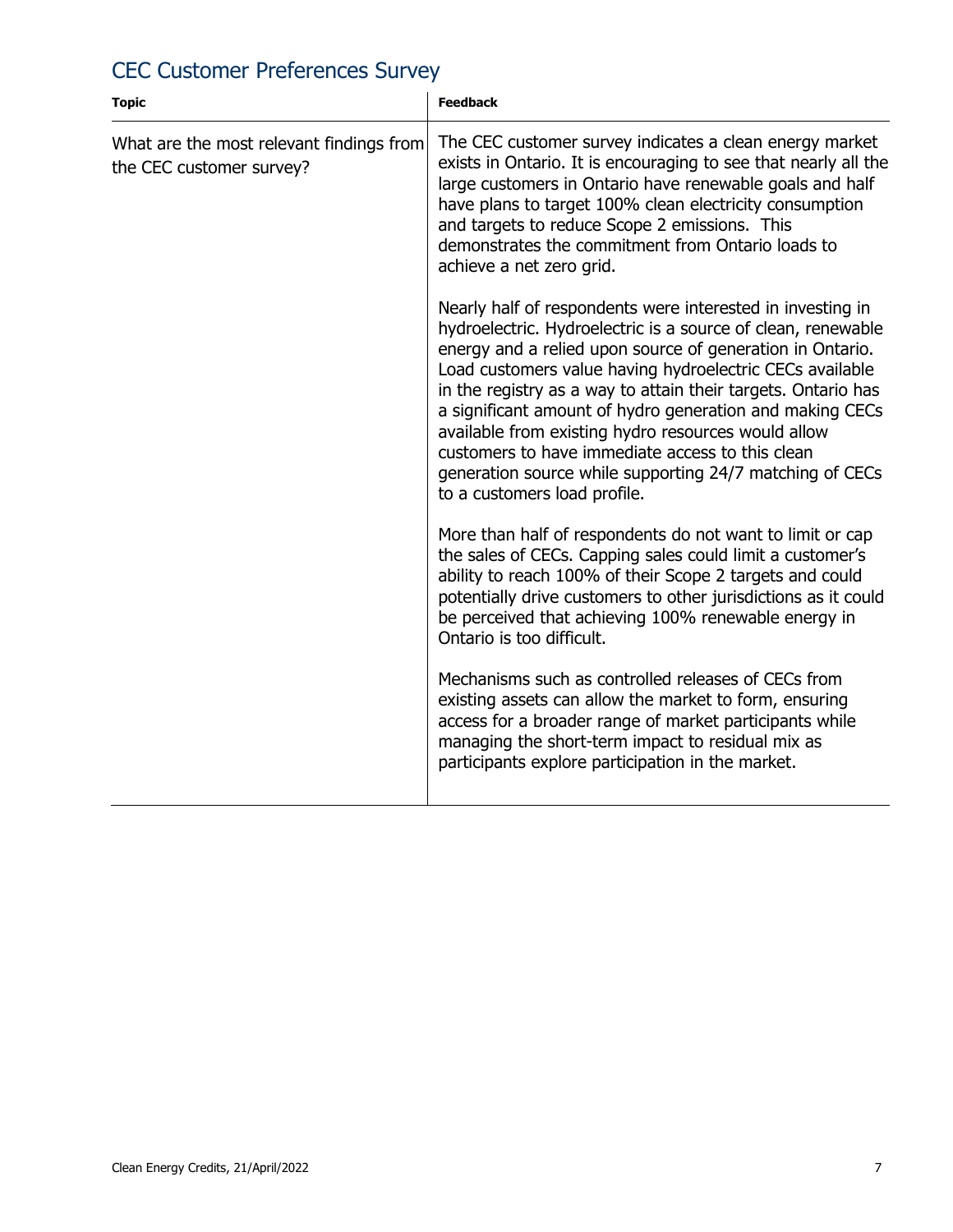## CEC Customer Preferences Survey

| <b>Topic</b>                                                         | <b>Feedback</b>                                                                                                                                                                                                                                                                                                                                                                                                                                                                                                                                                                         |
|----------------------------------------------------------------------|-----------------------------------------------------------------------------------------------------------------------------------------------------------------------------------------------------------------------------------------------------------------------------------------------------------------------------------------------------------------------------------------------------------------------------------------------------------------------------------------------------------------------------------------------------------------------------------------|
| What are the most relevant findings from<br>the CEC customer survey? | The CEC customer survey indicates a clean energy market<br>exists in Ontario. It is encouraging to see that nearly all the<br>large customers in Ontario have renewable goals and half<br>have plans to target 100% clean electricity consumption<br>and targets to reduce Scope 2 emissions. This<br>demonstrates the commitment from Ontario loads to<br>achieve a net zero grid.                                                                                                                                                                                                     |
|                                                                      | Nearly half of respondents were interested in investing in<br>hydroelectric. Hydroelectric is a source of clean, renewable<br>energy and a relied upon source of generation in Ontario.<br>Load customers value having hydroelectric CECs available<br>in the registry as a way to attain their targets. Ontario has<br>a significant amount of hydro generation and making CECs<br>available from existing hydro resources would allow<br>customers to have immediate access to this clean<br>generation source while supporting 24/7 matching of CECs<br>to a customers load profile. |
|                                                                      | More than half of respondents do not want to limit or cap<br>the sales of CECs. Capping sales could limit a customer's<br>ability to reach 100% of their Scope 2 targets and could<br>potentially drive customers to other jurisdictions as it could<br>be perceived that achieving 100% renewable energy in<br>Ontario is too difficult.                                                                                                                                                                                                                                               |
|                                                                      | Mechanisms such as controlled releases of CECs from<br>existing assets can allow the market to form, ensuring<br>access for a broader range of market participants while<br>managing the short-term impact to residual mix as<br>participants explore participation in the market.                                                                                                                                                                                                                                                                                                      |